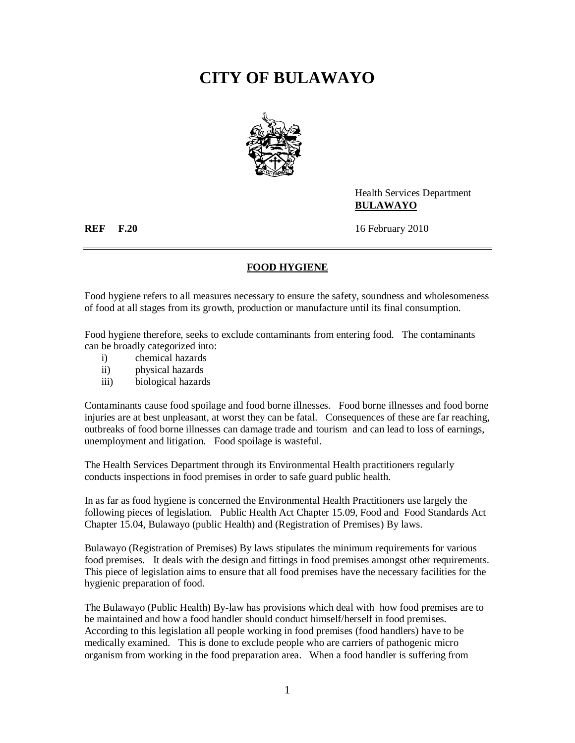## **CITY OF BULAWAYO**



Health Services Department **BULAWAYO**

**REF F.20** 16 February 2010

## **FOOD HYGIENE**

Food hygiene refers to all measures necessary to ensure the safety, soundness and wholesomeness of food at all stages from its growth, production or manufacture until its final consumption.

Food hygiene therefore, seeks to exclude contaminants from entering food. The contaminants can be broadly categorized into:

- i) chemical hazards
- ii) physical hazards
- iii) biological hazards

Contaminants cause food spoilage and food borne illnesses. Food borne illnesses and food borne injuries are at best unpleasant, at worst they can be fatal. Consequences of these are far reaching, outbreaks of food borne illnesses can damage trade and tourism and can lead to loss of earnings, unemployment and litigation. Food spoilage is wasteful.

The Health Services Department through its Environmental Health practitioners regularly conducts inspections in food premises in order to safe guard public health.

In as far as food hygiene is concerned the Environmental Health Practitioners use largely the following pieces of legislation. Public Health Act Chapter 15.09, Food and Food Standards Act Chapter 15.04, Bulawayo (public Health) and (Registration of Premises) By laws.

Bulawayo (Registration of Premises) By laws stipulates the minimum requirements for various food premises. It deals with the design and fittings in food premises amongst other requirements. This piece of legislation aims to ensure that all food premises have the necessary facilities for the hygienic preparation of food.

The Bulawayo (Public Health) By-law has provisions which deal with how food premises are to be maintained and how a food handler should conduct himself/herself in food premises. According to this legislation all people working in food premises (food handlers) have to be medically examined. This is done to exclude people who are carriers of pathogenic micro organism from working in the food preparation area. When a food handler is suffering from